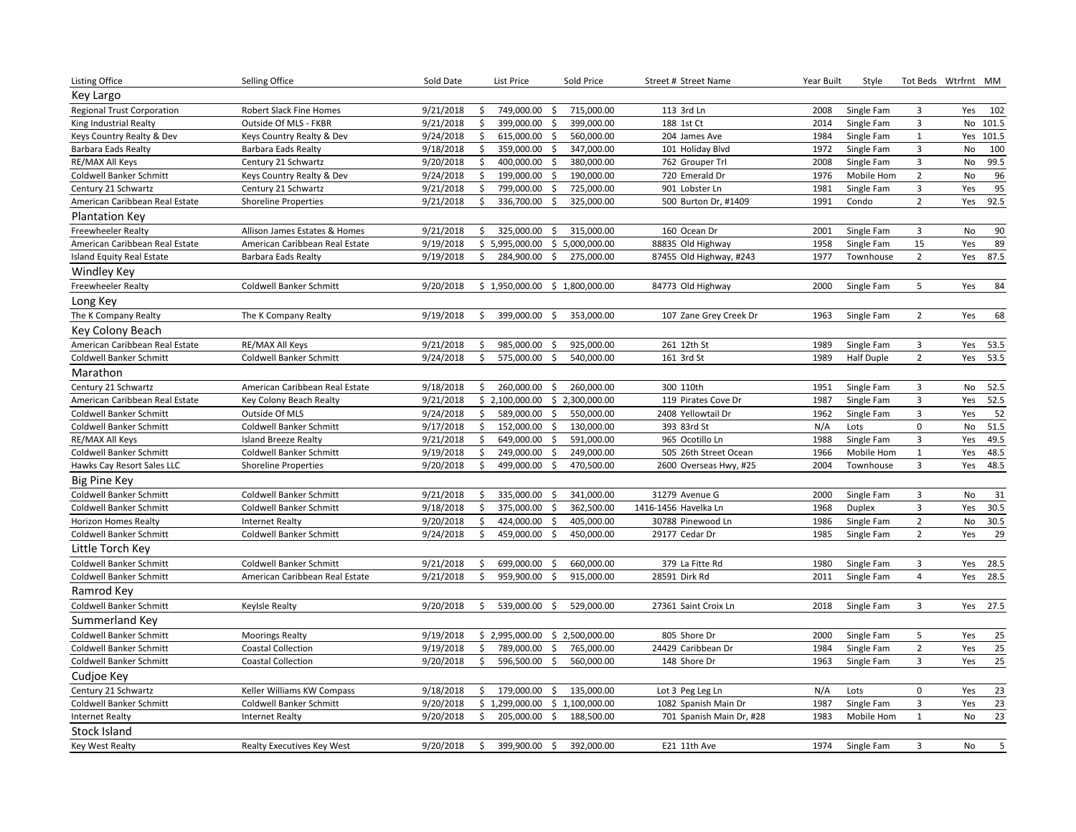| Listing Office                    | Selling Office                    | Sold Date | List Price          | Sold Price                       | Street # Street Name                     | Year Built | Style             |                           | Tot Beds Wtrfrnt MM    |
|-----------------------------------|-----------------------------------|-----------|---------------------|----------------------------------|------------------------------------------|------------|-------------------|---------------------------|------------------------|
| Key Largo                         |                                   |           |                     |                                  |                                          |            |                   |                           |                        |
| <b>Regional Trust Corporation</b> | Robert Slack Fine Homes           | 9/21/2018 | 749,000.00<br>\$    | 715,000.00<br>S.                 | 113 3rd Ln                               | 2008       | Single Fam        | $\mathbf{3}$              | 102<br>Yes             |
| King Industrial Realty            | Outside Of MLS - FKBR             | 9/21/2018 | \$<br>399,000.00    | 399,000.00<br>Ś                  | 188 1st Ct                               | 2014       | Single Fam        | $\overline{\mathbf{3}}$   | No 101.5               |
| Keys Country Realty & Dev         | Keys Country Realty & Dev         | 9/24/2018 | \$<br>615,000.00    | \$<br>560,000.00                 | 204 James Ave                            | 1984       | Single Fam        | $\,$ 1                    | Yes 101.5              |
| Barbara Eads Realty               | Barbara Eads Realty               | 9/18/2018 | \$<br>359,000.00    | \$<br>347,000.00                 | 101 Holiday Blvd                         | 1972       | Single Fam        | $\overline{\mathbf{3}}$   | 100<br>No              |
| RE/MAX All Keys                   | Century 21 Schwartz               | 9/20/2018 | \$<br>400,000.00    | \$<br>380,000.00                 | 762 Grouper Trl                          | 2008       | Single Fam        | $\mathbf{3}$              | No<br>99.5             |
| Coldwell Banker Schmitt           | Keys Country Realty & Dev         | 9/24/2018 | \$<br>199,000.00    | 190,000.00<br>\$                 | 720 Emerald Dr                           | 1976       | Mobile Hom        | $\overline{2}$            | 96<br>No               |
| Century 21 Schwartz               | Century 21 Schwartz               | 9/21/2018 | \$<br>799,000.00    | \$<br>725,000.00                 | 901 Lobster Ln                           | 1981       | Single Fam        | $\ensuremath{\mathsf{3}}$ | 95<br>Yes              |
| American Caribbean Real Estate    | <b>Shoreline Properties</b>       | 9/21/2018 | \$<br>336,700.00    | Ŝ.<br>325,000.00                 | 500 Burton Dr, #1409                     | 1991       | Condo             | $\overline{2}$            | 92.5<br>Yes            |
| <b>Plantation Key</b>             |                                   |           |                     |                                  |                                          |            |                   |                           |                        |
| <b>Freewheeler Realty</b>         | Allison James Estates & Homes     | 9/21/2018 | 325,000.00 \$<br>\$ | 315,000.00                       | 160 Ocean Dr                             | 2001       | Single Fam        | $\overline{3}$            | 90<br>No               |
| American Caribbean Real Estate    | American Caribbean Real Estate    | 9/19/2018 | \$5,995,000.00      | \$5,000,000.00                   | 88835 Old Highway                        | 1958       | Single Fam        | 15                        | 89<br>Yes              |
| Island Equity Real Estate         | <b>Barbara Eads Realty</b>        | 9/19/2018 | 284,900.00<br>\$    | \$<br>275,000.00                 | 87455 Old Highway, #243                  | 1977       | Townhouse         | $\overline{2}$            | Yes<br>87.5            |
| Windley Key                       |                                   |           |                     |                                  |                                          |            |                   |                           |                        |
| Freewheeler Realty                | <b>Coldwell Banker Schmitt</b>    | 9/20/2018 | \$1,950,000.00      | \$1,800,000.00                   | 84773 Old Highway                        | 2000       | Single Fam        | 5                         | 84<br>Yes              |
| Long Key                          |                                   |           |                     |                                  |                                          |            |                   |                           |                        |
| The K Company Realty              | The K Company Realty              | 9/19/2018 | \$<br>399,000.00    | 353,000.00<br>Ŝ                  | 107 Zane Grey Creek Dr                   | 1963       | Single Fam        | $\overline{2}$            | 68<br>Yes              |
| Key Colony Beach                  |                                   |           |                     |                                  |                                          |            |                   |                           |                        |
| American Caribbean Real Estate    | RE/MAX All Keys                   | 9/21/2018 | 985,000.00<br>\$    | 925,000.00<br>\$                 | 261 12th St                              | 1989       | Single Fam        | $\overline{\mathbf{3}}$   | Yes<br>53.5            |
| Coldwell Banker Schmitt           | <b>Coldwell Banker Schmitt</b>    | 9/24/2018 | \$<br>575,000.00    | \$<br>540,000.00                 | 161 3rd St                               | 1989       | <b>Half Duple</b> | $\overline{2}$            | 53.5<br>Yes            |
| Marathon                          |                                   |           |                     |                                  |                                          |            |                   |                           |                        |
| Century 21 Schwartz               | American Caribbean Real Estate    | 9/18/2018 | \$<br>260,000.00    | \$                               | 300 110th                                | 1951       | Single Fam        | $\mathsf 3$               | 52.5<br>No             |
| American Caribbean Real Estate    | Key Colony Beach Realty           | 9/21/2018 | \$2,100,000.00      | 260,000.00<br>\$2,300,000.00     | 119 Pirates Cove Dr                      | 1987       | Single Fam        | $\overline{3}$            | Yes<br>52.5            |
| Coldwell Banker Schmitt           | Outside Of MLS                    | 9/24/2018 | \$<br>589,000.00    | \$<br>550,000.00                 | 2408 Yellowtail Dr                       | 1962       | Single Fam        | $\overline{\mathbf{3}}$   | 52<br>Yes              |
| Coldwell Banker Schmitt           | Coldwell Banker Schmitt           | 9/17/2018 | \$<br>152,000.00    | $\ddot{\varsigma}$<br>130,000.00 | 393 83rd St                              | N/A        | Lots              | $\mathbf 0$               | 51.5<br>No             |
| RE/MAX All Keys                   | <b>Island Breeze Realty</b>       | 9/21/2018 | \$<br>649,000.00 \$ | 591,000.00                       | 965 Ocotillo Ln                          | 1988       | Single Fam        | $\mathbf{3}$              | 49.5<br>Yes            |
| Coldwell Banker Schmitt           | Coldwell Banker Schmitt           | 9/19/2018 | \$<br>249,000.00    | \$<br>249,000.00                 | 505 26th Street Ocean                    | 1966       | Mobile Hom        | $\mathbf{1}$              | 48.5<br>Yes            |
| Hawks Cay Resort Sales LLC        | <b>Shoreline Properties</b>       | 9/20/2018 | \$<br>499,000.00    | \$<br>470,500.00                 | 2600 Overseas Hwy, #25                   | 2004       | Townhouse         | $\overline{\mathbf{3}}$   | 48.5<br>Yes            |
| <b>Big Pine Key</b>               |                                   |           |                     |                                  |                                          |            |                   |                           |                        |
| Coldwell Banker Schmitt           | Coldwell Banker Schmitt           | 9/21/2018 | \$<br>335,000.00    | \$<br>341,000.00                 | 31279 Avenue G                           | 2000       | Single Fam        | $\overline{\mathbf{3}}$   | No<br>31               |
| Coldwell Banker Schmitt           | Coldwell Banker Schmitt           | 9/18/2018 | \$<br>375,000.00    | \$<br>362,500.00                 | 1416-1456 Havelka Ln                     | 1968       | Duplex            | $\mathbf{3}$              | 30.5<br>Yes            |
| Horizon Homes Realty              | <b>Internet Realty</b>            | 9/20/2018 | \$<br>424,000.00    | 405,000.00<br>S.                 | 30788 Pinewood Ln                        | 1986       | Single Fam        | $\overline{2}$            | 30.5<br>No             |
| Coldwell Banker Schmitt           | Coldwell Banker Schmitt           | 9/24/2018 | \$<br>459,000.00    | \$<br>450,000.00                 | 29177 Cedar Dr                           | 1985       | Single Fam        | $\overline{2}$            | 29<br>Yes              |
| Little Torch Key                  |                                   |           |                     |                                  |                                          |            |                   |                           |                        |
| <b>Coldwell Banker Schmitt</b>    | Coldwell Banker Schmitt           | 9/21/2018 | \$<br>699,000.00    | 660,000.00<br>-\$                | 379 La Fitte Rd                          | 1980       | Single Fam        | $\overline{\mathbf{3}}$   | Yes<br>28.5            |
| Coldwell Banker Schmitt           | American Caribbean Real Estate    | 9/21/2018 | \$<br>959,900.00    | \$<br>915,000.00                 | 28591 Dirk Rd                            | 2011       | Single Fam        | $\overline{4}$            | 28.5<br>Yes            |
| Ramrod Key                        |                                   |           |                     |                                  |                                          |            |                   |                           |                        |
| <b>Coldwell Banker Schmitt</b>    | <b>Keylsle Realty</b>             | 9/20/2018 | Ś<br>539,000.00     | 529,000.00<br>Ŝ.                 | 27361 Saint Croix Ln                     | 2018       | Single Fam        | $\mathbf{3}$              | 27.5<br>Yes            |
| Summerland Key                    |                                   |           |                     |                                  |                                          |            |                   |                           |                        |
| <b>Coldwell Banker Schmitt</b>    | <b>Moorings Realty</b>            | 9/19/2018 | \$2,995,000.00      | \$2,500,000.00                   | 805 Shore Dr                             | 2000       | Single Fam        | 5                         | 25<br>Yes              |
| Coldwell Banker Schmitt           | <b>Coastal Collection</b>         | 9/19/2018 | 789,000.00<br>\$    | 765,000.00<br>\$                 | 24429 Caribbean Dr                       | 1984       | Single Fam        | $\overline{2}$            | 25<br>Yes              |
| <b>Coldwell Banker Schmitt</b>    | <b>Coastal Collection</b>         | 9/20/2018 | \$<br>596,500.00    | \$<br>560,000.00                 | 148 Shore Dr                             | 1963       | Single Fam        | $\overline{3}$            | $\overline{25}$<br>Yes |
| Cudjoe Key                        |                                   |           |                     |                                  |                                          |            |                   |                           |                        |
| Century 21 Schwartz               | Keller Williams KW Compass        | 9/18/2018 | \$<br>179,000.00    | \$<br>135,000.00                 |                                          | N/A        | Lots              | $\mathsf 0$               | 23<br>Yes              |
| Coldwell Banker Schmitt           | Coldwell Banker Schmitt           | 9/20/2018 | \$1,299,000.00      | \$1,100,000.00                   | Lot 3 Peg Leg Ln<br>1082 Spanish Main Dr | 1987       | Single Fam        | $\mathbf{3}$              | 23<br>Yes              |
| <b>Internet Realty</b>            | <b>Internet Realty</b>            | 9/20/2018 | \$<br>205,000.00    | \$<br>188,500.00                 | 701 Spanish Main Dr, #28                 | 1983       | Mobile Hom        | $\mathbf{1}$              | 23<br>No               |
| Stock Island                      |                                   |           |                     |                                  |                                          |            |                   |                           |                        |
|                                   |                                   |           |                     |                                  | E21 11th Ave                             |            |                   | $\overline{3}$            | 5                      |
| <b>Key West Realty</b>            | <b>Realty Executives Key West</b> | 9/20/2018 | \$<br>399,900.00    | \$<br>392,000.00                 |                                          | 1974       | Single Fam        |                           | No                     |